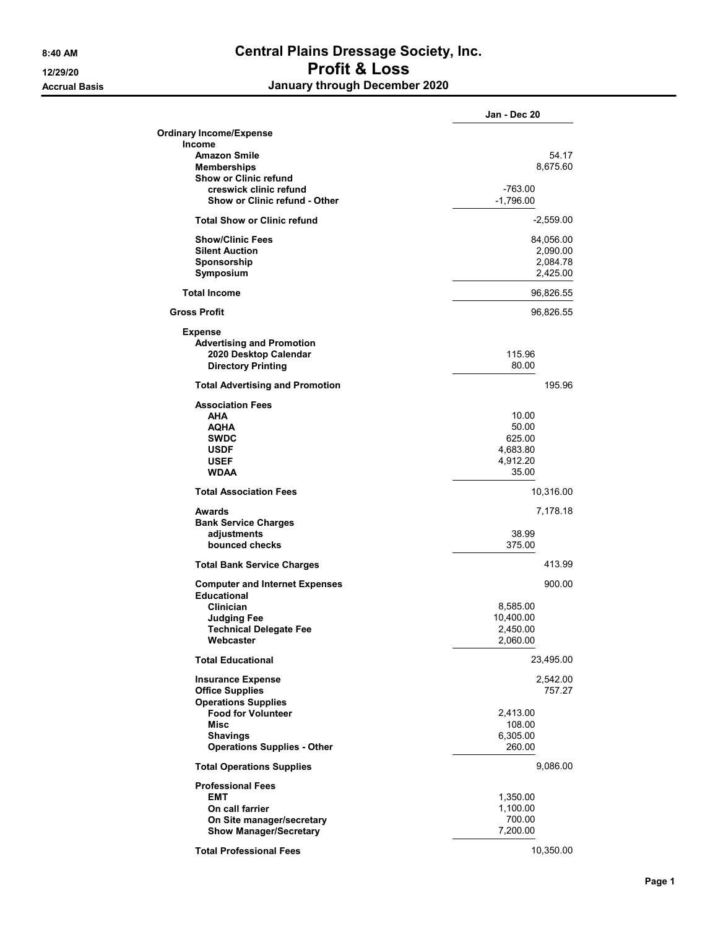## 8:40 AM Central Plains Dressage Society, Inc. 12/29/20 Profit & Loss Accrual Basis **Accrual Basis January through December 2020**

|                                        | Jan - Dec 20 |
|----------------------------------------|--------------|
| <b>Ordinary Income/Expense</b>         |              |
| <b>Income</b>                          |              |
| <b>Amazon Smile</b>                    | 54.17        |
| <b>Memberships</b>                     | 8,675.60     |
| <b>Show or Clinic refund</b>           |              |
| creswick clinic refund                 | $-763.00$    |
| <b>Show or Clinic refund - Other</b>   | $-1,796.00$  |
| <b>Total Show or Clinic refund</b>     | $-2,559.00$  |
| <b>Show/Clinic Fees</b>                | 84,056.00    |
| <b>Silent Auction</b>                  | 2,090.00     |
| Sponsorship                            | 2,084.78     |
| Symposium                              | 2,425.00     |
| <b>Total Income</b>                    | 96,826.55    |
| <b>Gross Profit</b>                    | 96,826.55    |
| <b>Expense</b>                         |              |
| <b>Advertising and Promotion</b>       |              |
| 2020 Desktop Calendar                  | 115.96       |
| <b>Directory Printing</b>              | 80.00        |
| <b>Total Advertising and Promotion</b> | 195.96       |
| <b>Association Fees</b>                |              |
| AHA                                    | 10.00        |
| <b>AQHA</b>                            | 50.00        |
| <b>SWDC</b>                            | 625.00       |
| <b>USDF</b>                            | 4,683.80     |
| <b>USEF</b>                            | 4,912.20     |
| <b>WDAA</b>                            | 35.00        |
| <b>Total Association Fees</b>          | 10,316.00    |
| <b>Awards</b>                          | 7,178.18     |
| <b>Bank Service Charges</b>            |              |
| adjustments                            | 38.99        |
| bounced checks                         | 375.00       |
| <b>Total Bank Service Charges</b>      | 413.99       |
|                                        |              |
| <b>Computer and Internet Expenses</b>  | 900.00       |
| <b>Educational</b>                     |              |
| Clinician                              | 8,585.00     |
| <b>Judging Fee</b>                     | 10,400.00    |
| <b>Technical Delegate Fee</b>          | 2,450.00     |
| Webcaster                              | 2,060.00     |
| <b>Total Educational</b>               | 23,495.00    |
| <b>Insurance Expense</b>               | 2,542.00     |
| <b>Office Supplies</b>                 | 757.27       |
| <b>Operations Supplies</b>             |              |
| <b>Food for Volunteer</b>              | 2,413.00     |
| <b>Misc</b>                            | 108.00       |
| <b>Shavings</b>                        | 6,305.00     |
| <b>Operations Supplies - Other</b>     | 260.00       |
| <b>Total Operations Supplies</b>       | 9,086.00     |
| <b>Professional Fees</b>               |              |
| <b>EMT</b>                             | 1,350.00     |
| On call farrier                        | 1,100.00     |
| On Site manager/secretary              | 700.00       |
| <b>Show Manager/Secretary</b>          | 7,200.00     |
| <b>Total Professional Fees</b>         | 10,350.00    |